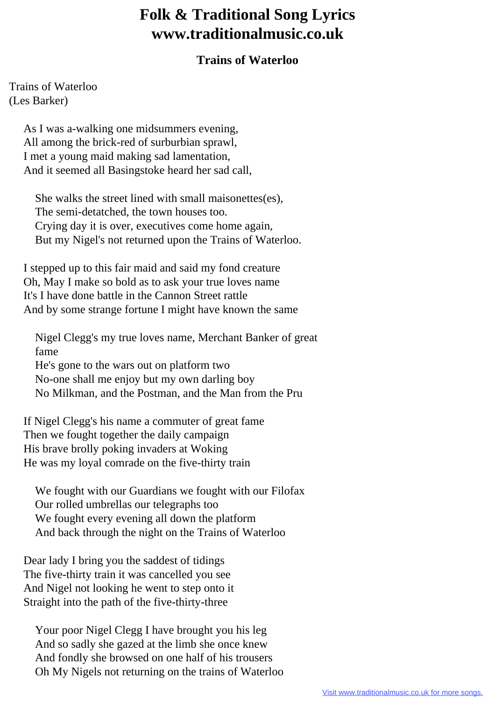## **Folk & Traditional Song Lyrics www.traditionalmusic.co.uk**

## **Trains of Waterloo**

Trains of Waterloo (Les Barker)

> As I was a-walking one midsummers evening, All among the brick-red of surburbian sprawl, I met a young maid making sad lamentation, And it seemed all Basingstoke heard her sad call,

 She walks the street lined with small maisonettes(es), The semi-detatched, the town houses too. Crying day it is over, executives come home again, But my Nigel's not returned upon the Trains of Waterloo.

 I stepped up to this fair maid and said my fond creature Oh, May I make so bold as to ask your true loves name It's I have done battle in the Cannon Street rattle And by some strange fortune I might have known the same

 Nigel Clegg's my true loves name, Merchant Banker of great fame He's gone to the wars out on platform two No-one shall me enjoy but my own darling boy No Milkman, and the Postman, and the Man from the Pru

 If Nigel Clegg's his name a commuter of great fame Then we fought together the daily campaign His brave brolly poking invaders at Woking He was my loyal comrade on the five-thirty train

We fought with our Guardians we fought with our Filofax Our rolled umbrellas our telegraphs too We fought every evening all down the platform And back through the night on the Trains of Waterloo

 Dear lady I bring you the saddest of tidings The five-thirty train it was cancelled you see And Nigel not looking he went to step onto it Straight into the path of the five-thirty-three

 Your poor Nigel Clegg I have brought you his leg And so sadly she gazed at the limb she once knew And fondly she browsed on one half of his trousers Oh My Nigels not returning on the trains of Waterloo